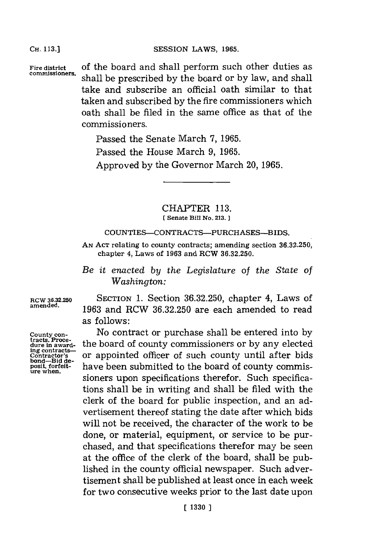**CH. 113.]**

Fire district of the board and shall perform such other duties as shall be prescribed by the board or by law, and shall take and subscribe an official oath similar to that taken and subscribed **by** the fire commissioners which oath shall be filed in the same office as that of the commissioners.

> Passed the Senate March **7, 1965.** Passed the House March **9, 1965.** Approved **by** the Governor March 20, **1965.**

> > CHAPTER **113. [Senate Bill No. 213.]1**

### COUNTIES-CONTRACTS-PURCHASES-BIDS.

**AN ACT** relating to county contracts; amending section **36.32.250,** chapter 4, Laws of **1963** and RCW **36.32.250.**

## *Be it enacted by the Legislature of the State of Washington:*

**ing Contracs bond-Bid de-**

**RCW 36.32.250** SECTION **1.** Section **36.32.250,** chapter 4, Laws of **amended. 1963** and RCW **36.32.250** are each amended to read as follows:

**County con-** No contract or purchase shall be entered into **by tracts. Proce**the board of county commissioners or by any elected or appointed officer of such county until after bids **posit, forfeit-** have been submitted to the board of county commis- **ure when.** sioners upon specifications therefor. Such specifications shall be in writing and shall be filed with the clerk of the board for public inspection, and an advertisement thereof stating the date after which bids will not be received, the character of the work to be done, or material, equipment, or service to be purchased, and that specifications therefor may be seen at the office of the clerk of the board, shall be published in the county official newspaper. Such advertisement shall be published at least once in each week for two consecutive weeks prior to the last date upon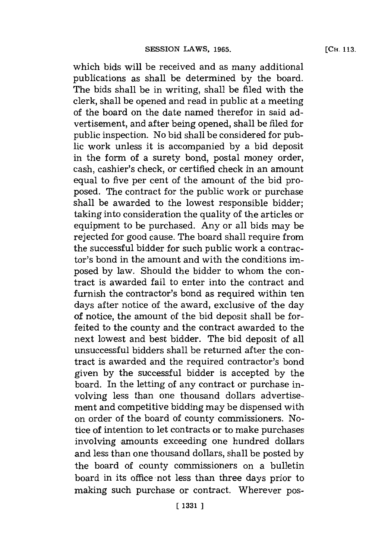which bids will be received and as many additional publications as shall be determined **by** the board. The bids shall be in writing, shall be filed with the clerk, shall be opened and read in public at a meeting of the board on the date named therefor in said advertisement, and after being opened, shall be filed for public inspection. No bid shall be considered for public work unless it is accompanied **by** a bid deposit in the form of a surety bond, postal money order, cash, cashier's check, or certified check in an amount equal to five per cent of the amount of the bid proposed. The contract for the public work or purchase shall be awarded to the lowest responsible bidder; taking into consideration the quality of the articles or equipment to be purchased. Any or all bids may be rejected for good cause. The board shall require from the successful bidder for such public work a contractor's bond in the amount and with the conditions imposed **by** law. Should the bidder to whom the contract is awarded fail to enter into the contract and furnish the contractor's bond as required within ten days after notice of the award, exclusive of the day of notice, the amount of the bid deposit shall be forfeited to the county and the contract awarded to the next lowest and best bidder. The bid deposit of all unsuccessful bidders shall be returned after the contract is awarded and the required contractor's bond given **by** the successful bidder is accepted **by** the board. In the letting of any contract or purchase involving less than one thousand dollars advertisement and competitive bidding may be dispensed with on order of the board of county commissioners. Notice of intention to let contracts or to make purchases involving amounts exceeding one hundred dollars and less than one thousand dollars, shall be posted **by** the board of county commissioners on a bulletin board in its office -not less than three days prior to making such purchase or contract. Wherever pos-